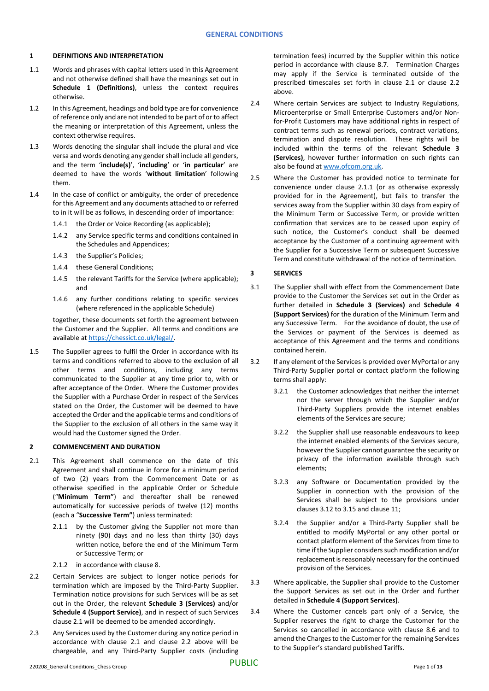## **1 DEFINITIONS AND INTERPRETATION**

- 1.1 Words and phrases with capital letters used in this Agreement and not otherwise defined shall have the meanings set out in **Schedule 1 (Definitions)**, unless the context requires otherwise.
- 1.2 In this Agreement, headings and bold type are for convenience of reference only and are not intended to be part of or to affect the meaning or interpretation of this Agreement, unless the context otherwise requires.
- 1.3 Words denoting the singular shall include the plural and vice versa and words denoting any gender shall include all genders, and the term '**include(s)**', '**including**' or '**in particular**' are deemed to have the words '**without limitation**' following them.
- 1.4 In the case of conflict or ambiguity, the order of precedence for this Agreement and any documents attached to or referred to in it will be as follows, in descending order of importance:
	- 1.4.1 the Order or Voice Recording (as applicable);
	- 1.4.2 any Service specific terms and conditions contained in the Schedules and Appendices;
	- 1.4.3 the Supplier's Policies;
	- 1.4.4 these General Conditions;
	- 1.4.5 the relevant Tariffs for the Service (where applicable); and
	- 1.4.6 any further conditions relating to specific services (where referenced in the applicable Schedule)

together, these documents set forth the agreement between the Customer and the Supplier. All terms and conditions are available at [https://chessict.co.uk/legal/.](https://chessict.co.uk/legal/) 

1.5 The Supplier agrees to fulfil the Order in accordance with its terms and conditions referred to above to the exclusion of all other terms and conditions, including any terms communicated to the Supplier at any time prior to, with or after acceptance of the Order. Where the Customer provides the Supplier with a Purchase Order in respect of the Services stated on the Order, the Customer will be deemed to have accepted the Order and the applicable terms and conditions of the Supplier to the exclusion of all others in the same way it would had the Customer signed the Order.

## **2 COMMENCEMENT AND DURATION**

- 2.1 This Agreement shall commence on the date of this Agreement and shall continue in force for a minimum period of two (2) years from the Commencement Date or as otherwise specified in the applicable Order or Schedule ("**Minimum Term"**) and thereafter shall be renewed automatically for successive periods of twelve (12) months (each a "**Successive Term"**) unless terminated:
	- 2.1.1 by the Customer giving the Supplier not more than ninety (90) days and no less than thirty (30) days written notice, before the end of the Minimum Term or Successive Term; or
	- 2.1.2 in accordance with claus[e 8.](#page-6-0)
- 2.2 Certain Services are subject to longer notice periods for termination which are imposed by the Third-Party Supplier. Termination notice provisions for such Services will be as set out in the Order, the relevant **Schedule 3 (Services)** and/or **Schedule 4 (Support Service)**, and in respect of such Services clause 2.1 will be deemed to be amended accordingly.
- 2.3 Any Services used by the Customer during any notice period in accordance with clause 2.1 and clause 2.2 above will be chargeable, and any Third-Party Supplier costs (including

termination fees) incurred by the Supplier within this notice period in accordance with clause 8.7. Termination Charges may apply if the Service is terminated outside of the prescribed timescales set forth in clause 2.1 or clause 2.2 above.

- 2.4 Where certain Services are subject to Industry Regulations, Microenterprise or Small Enterprise Customers and/or Nonfor-Profit Customers may have additional rights in respect of contract terms such as renewal periods, contract variations, termination and dispute resolution. These rights will be included within the terms of the relevant **Schedule 3 (Services)**, however further information on such rights can also be found at [www.ofcom.org.uk.](http://www.ofcom.org.uk/)
- 2.5 Where the Customer has provided notice to terminate for convenience under clause 2.1.1 (or as otherwise expressly provided for in the Agreement), but fails to transfer the services away from the Supplier within 30 days from expiry of the Minimum Term or Successive Term, or provide written confirmation that services are to be ceased upon expiry of such notice, the Customer's conduct shall be deemed acceptance by the Customer of a continuing agreement with the Supplier for a Successive Term or subsequent Successive Term and constitute withdrawal of the notice of termination.

# <span id="page-0-0"></span>**3 SERVICES**

- 3.1 The Supplier shall with effect from the Commencement Date provide to the Customer the Services set out in the Order as further detailed in **Schedule 3 (Services)** and **Schedule 4 (Support Services)** for the duration of the Minimum Term and any Successive Term. For the avoidance of doubt, the use of the Services or payment of the Services is deemed as acceptance of this Agreement and the terms and conditions contained herein.
- 3.2 If any element of the Services is provided over MyPortal or any Third-Party Supplier portal or contact platform the following terms shall apply:
	- 3.2.1 the Customer acknowledges that neither the internet nor the server through which the Supplier and/or Third-Party Suppliers provide the internet enables elements of the Services are secure;
	- 3.2.2 the Supplier shall use reasonable endeavours to keep the internet enabled elements of the Services secure, however the Supplier cannot guarantee the security or privacy of the information available through such elements;
	- 3.2.3 any Software or Documentation provided by the Supplier in connection with the provision of the Services shall be subject to the provisions under clauses 3.12 to 3.15 and clause 11;
	- 3.2.4 the Supplier and/or a Third-Party Supplier shall be entitled to modify MyPortal or any other portal or contact platform element of the Services from time to time if the Supplier considers such modification and/or replacement is reasonably necessary for the continued provision of the Services.
- 3.3 Where applicable, the Supplier shall provide to the Customer the Support Services as set out in the Order and further detailed in **Schedule 4 (Support Services)**.
- 3.4 Where the Customer cancels part only of a Service, the Supplier reserves the right to charge the Customer for the Services so cancelled in accordance with clause 8.6 and to amend the Charges to the Customer for the remaining Services to the Supplier's standard published Tariffs.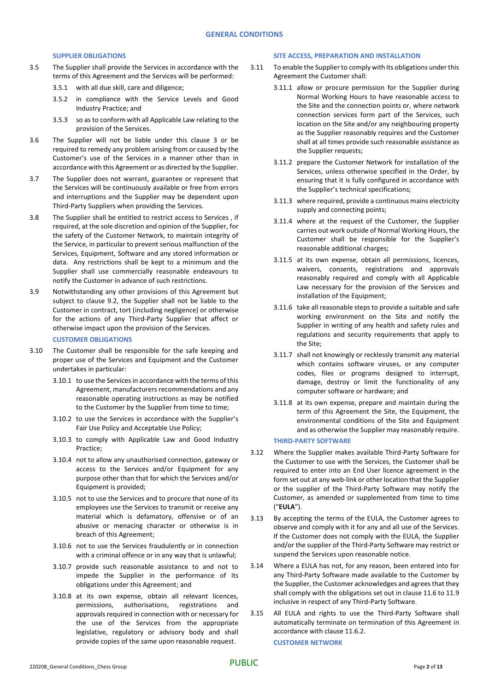## **SUPPLIER OBLIGATIONS**

- 3.5 The Supplier shall provide the Services in accordance with the terms of this Agreement and the Services will be performed:
	- 3.5.1 with all due skill, care and diligence;
	- 3.5.2 in compliance with the Service Levels and Good Industry Practice; and
	- 3.5.3 so as to conform with all Applicable Law relating to the provision of the Services.
- 3.6 The Supplier will not be liable under this clause [3](#page-0-0) or be required to remedy any problem arising from or caused by the Customer's use of the Services in a manner other than in accordance with this Agreement or as directed by the Supplier.
- 3.7 The Supplier does not warrant, guarantee or represent that the Services will be continuously available or free from errors and interruptions and the Supplier may be dependent upon Third-Party Suppliers when providing the Services.
- 3.8 The Supplier shall be entitled to restrict access to Services , if required, at the sole discretion and opinion of the Supplier, for the safety of the Customer Network, to maintain integrity of the Service, in particular to prevent serious malfunction of the Services, Equipment, Software and any stored information or data. Any restrictions shall be kept to a minimum and the Supplier shall use commercially reasonable endeavours to notify the Customer in advance of such restrictions.
- 3.9 Notwithstanding any other provisions of this Agreement but subject to clause 9.2, the Supplier shall not be liable to the Customer in contract, tort (including negligence) or otherwise for the actions of any Third-Party Supplier that affect or otherwise impact upon the provision of the Services.

# **CUSTOMER OBLIGATIONS**

- 3.10 The Customer shall be responsible for the safe keeping and proper use of the Services and Equipment and the Customer undertakes in particular:
	- 3.10.1 to use the Services in accordance with the terms of this Agreement, manufacturers recommendations and any reasonable operating instructions as may be notified to the Customer by the Supplier from time to time;
	- 3.10.2 to use the Services in accordance with the Supplier's Fair Use Policy and Acceptable Use Policy;
	- 3.10.3 to comply with Applicable Law and Good Industry Practice;
	- 3.10.4 not to allow any unauthorised connection, gateway or access to the Services and/or Equipment for any purpose other than that for which the Services and/or Equipment is provided;
	- 3.10.5 not to use the Services and to procure that none of its employees use the Services to transmit or receive any material which is defamatory, offensive or of an abusive or menacing character or otherwise is in breach of this Agreement;
	- 3.10.6 not to use the Services fraudulently or in connection with a criminal offence or in any way that is unlawful;
	- 3.10.7 provide such reasonable assistance to and not to impede the Supplier in the performance of its obligations under this Agreement; and
	- 3.10.8 at its own expense, obtain all relevant licences, permissions, authorisations, registrations and approvals required in connection with or necessary for the use of the Services from the appropriate legislative, regulatory or advisory body and shall provide copies of the same upon reasonable request.

### **SITE ACCESS, PREPARATION AND INSTALLATION**

- 3.11 To enable the Supplier to comply with its obligations under this Agreement the Customer shall:
	- 3.11.1 allow or procure permission for the Supplier during Normal Working Hours to have reasonable access to the Site and the connection points or, where network connection services form part of the Services, such location on the Site and/or any neighbouring property as the Supplier reasonably requires and the Customer shall at all times provide such reasonable assistance as the Supplier requests;
	- 3.11.2 prepare the Customer Network for installation of the Services, unless otherwise specified in the Order, by ensuring that it is fully configured in accordance with the Supplier's technical specifications;
	- 3.11.3 where required, provide a continuous mains electricity supply and connecting points;
	- 3.11.4 where at the request of the Customer, the Supplier carries out work outside of Normal Working Hours, the Customer shall be responsible for the Supplier's reasonable additional charges;
	- 3.11.5 at its own expense, obtain all permissions, licences, waivers, consents, registrations and approvals reasonably required and comply with all Applicable Law necessary for the provision of the Services and installation of the Equipment;
	- 3.11.6 take all reasonable steps to provide a suitable and safe working environment on the Site and notify the Supplier in writing of any health and safety rules and regulations and security requirements that apply to the Site;
	- 3.11.7 shall not knowingly or recklessly transmit any material which contains software viruses, or any computer codes, files or programs designed to interrupt, damage, destroy or limit the functionality of any computer software or hardware; and
	- 3.11.8 at its own expense, prepare and maintain during the term of this Agreement the Site, the Equipment, the environmental conditions of the Site and Equipment and as otherwise the Supplier may reasonably require.

## **THIRD-PARTY SOFTWARE**

- <span id="page-1-0"></span>3.12 Where the Supplier makes available Third-Party Software for the Customer to use with the Services, the Customer shall be required to enter into an End User licence agreement in the form set out at any web-link or other location that the Supplier or the supplier of the Third-Party Software may notify the Customer, as amended or supplemented from time to time ("**EULA**").
- 3.13 By accepting the terms of the EULA, the Customer agrees to observe and comply with it for any and all use of the Services. If the Customer does not comply with the EULA, the Supplier and/or the supplier of the Third-Party Software may restrict or suspend the Services upon reasonable notice.
- 3.14 Where a EULA has not, for any reason, been entered into for any Third-Party Software made available to the Customer by the Supplier, the Customer acknowledges and agrees that they shall comply with the obligations set out in clause 11.6 to 11.9 inclusive in respect of any Third-Party Software.
- <span id="page-1-1"></span>3.15 All EULA and rights to use the Third-Party Software shall automatically terminate on termination of this Agreement in accordance with claus[e 11.6.2.](#page-8-0)

**CUSTOMER NETWORK**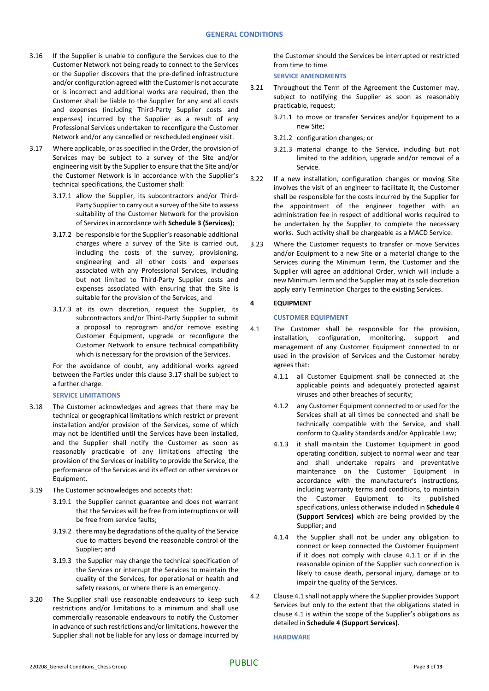- 3.16 If the Supplier is unable to configure the Services due to the Customer Network not being ready to connect to the Services or the Supplier discovers that the pre-defined infrastructure and/or configuration agreed with the Customer is not accurate or is incorrect and additional works are required, then the Customer shall be liable to the Supplier for any and all costs and expenses (including Third-Party Supplier costs and expenses) incurred by the Supplier as a result of any Professional Services undertaken to reconfigure the Customer Network and/or any cancelled or rescheduled engineer visit.
- <span id="page-2-0"></span>3.17 Where applicable, or as specified in the Order, the provision of Services may be subject to a survey of the Site and/or engineering visit by the Supplier to ensure that the Site and/or the Customer Network is in accordance with the Supplier's technical specifications, the Customer shall:
	- 3.17.1 allow the Supplier, its subcontractors and/or Third-Party Supplier to carry out a survey of the Site to assess suitability of the Customer Network for the provision of Services in accordance with **Schedule 3 (Services)**;
	- 3.17.2 be responsible for the Supplier's reasonable additional charges where a survey of the Site is carried out, including the costs of the survey, provisioning, engineering and all other costs and expenses associated with any Professional Services, including but not limited to Third-Party Supplier costs and expenses associated with ensuring that the Site is suitable for the provision of the Services; and
	- 3.17.3 at its own discretion, request the Supplier, its subcontractors and/or Third-Party Supplier to submit a proposal to reprogram and/or remove existing Customer Equipment, upgrade or reconfigure the Customer Network to ensure technical compatibility which is necessary for the provision of the Services.

For the avoidance of doubt, any additional works agreed between the Parties under this claus[e 3.17](#page-2-0) shall be subject to a further charge.

#### **SERVICE LIMITATIONS**

- 3.18 The Customer acknowledges and agrees that there may be technical or geographical limitations which restrict or prevent installation and/or provision of the Services, some of which may not be identified until the Services have been installed, and the Supplier shall notify the Customer as soon as reasonably practicable of any limitations affecting the provision of the Services or inability to provide the Service, the performance of the Services and its effect on other services or Equipment.
- 3.19 The Customer acknowledges and accepts that:
	- 3.19.1 the Supplier cannot guarantee and does not warrant that the Services will be free from interruptions or will be free from service faults;
	- 3.19.2 there may be degradations of the quality of the Service due to matters beyond the reasonable control of the Supplier; and
	- 3.19.3 the Supplier may change the technical specification of the Services or interrupt the Services to maintain the quality of the Services, for operational or health and safety reasons, or where there is an emergency.
- 3.20 The Supplier shall use reasonable endeavours to keep such restrictions and/or limitations to a minimum and shall use commercially reasonable endeavours to notify the Customer in advance of such restrictions and/or limitations, however the Supplier shall not be liable for any loss or damage incurred by

the Customer should the Services be interrupted or restricted from time to time.

**SERVICE AMENDMENTS**

- 3.21 Throughout the Term of the Agreement the Customer may, subject to notifying the Supplier as soon as reasonably practicable, request;
	- 3.21.1 to move or transfer Services and/or Equipment to a new Site;
	- 3.21.2 configuration changes; or
	- 3.21.3 material change to the Service, including but not limited to the addition, upgrade and/or removal of a Service.
- 3.22 If a new installation, configuration changes or moving Site involves the visit of an engineer to facilitate it, the Customer shall be responsible for the costs incurred by the Supplier for the appointment of the engineer together with an administration fee in respect of additional works required to be undertaken by the Supplier to complete the necessary works. Such activity shall be chargeable as a MACD Service.
- 3.23 Where the Customer requests to transfer or move Services and/or Equipment to a new Site or a material change to the Services during the Minimum Term, the Customer and the Supplier will agree an additional Order, which will include a new Minimum Term and the Supplier may at its sole discretion apply early Termination Charges to the existing Services.

## **4 EQUIPMENT**

## **CUSTOMER EQUIPMENT**

- <span id="page-2-1"></span>4.1 The Customer shall be responsible for the provision, installation, configuration, monitoring, support and management of any Customer Equipment connected to or used in the provision of Services and the Customer hereby agrees that:
	- 4.1.1 all Customer Equipment shall be connected at the applicable points and adequately protected against viruses and other breaches of security;
	- 4.1.2 any Customer Equipment connected to or used for the Services shall at all times be connected and shall be technically compatible with the Service, and shall conform to Quality Standards and/or Applicable Law;
	- 4.1.3 it shall maintain the Customer Equipment in good operating condition, subject to normal wear and tear and shall undertake repairs and preventative maintenance on the Customer Equipment in accordance with the manufacturer's instructions, including warranty terms and conditions, to maintain the Customer Equipment to its published specifications, unless otherwise included in **Schedule 4 (Support Services)** which are being provided by the Supplier; and
	- 4.1.4 the Supplier shall not be under any obligation to connect or keep connected the Customer Equipment if it does not comply with clause [4.1.1](#page-2-1) or if in the reasonable opinion of the Supplier such connection is likely to cause death, personal injury, damage or to impair the quality of the Services.
- 4.2 Clause 4.1 shall not apply where the Supplier provides Support Services but only to the extent that the obligations stated in clause 4.1 is within the scope of the Supplier's obligations as detailed in **Schedule 4 (Support Services)**.

**HARDWARE**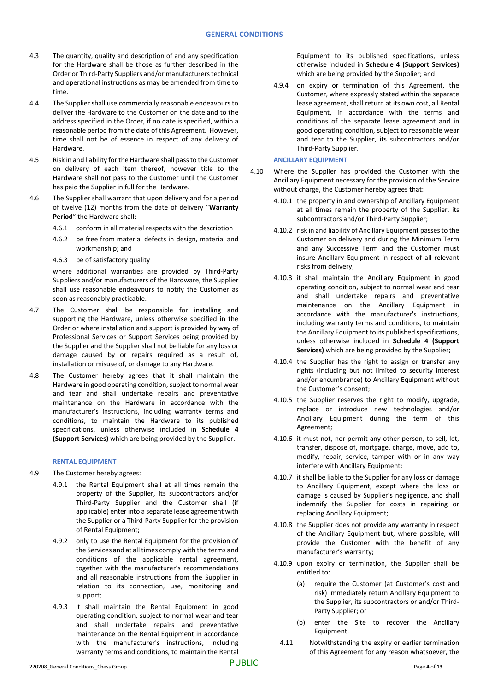- 4.3 The quantity, quality and description of and any specification for the Hardware shall be those as further described in the Order or Third-Party Suppliers and/or manufacturers technical and operational instructions as may be amended from time to time.
- 4.4 The Supplier shall use commercially reasonable endeavours to deliver the Hardware to the Customer on the date and to the address specified in the Order, if no date is specified, within a reasonable period from the date of this Agreement. However, time shall not be of essence in respect of any delivery of Hardware.
- 4.5 Risk in and liability forthe Hardware shall pass to the Customer on delivery of each item thereof, however title to the Hardware shall not pass to the Customer until the Customer has paid the Supplier in full for the Hardware.
- 4.6 The Supplier shall warrant that upon delivery and for a period of twelve (12) months from the date of delivery "**Warranty Period**" the Hardware shall:
	- 4.6.1 conform in all material respects with the description
	- 4.6.2 be free from material defects in design, material and workmanship; and
	- 4.6.3 be of satisfactory quality

where additional warranties are provided by Third-Party Suppliers and/or manufacturers of the Hardware, the Supplier shall use reasonable endeavours to notify the Customer as soon as reasonably practicable.

- 4.7 The Customer shall be responsible for installing and supporting the Hardware, unless otherwise specified in the Order or where installation and support is provided by way of Professional Services or Support Services being provided by the Supplier and the Supplier shall not be liable for any loss or damage caused by or repairs required as a result of, installation or misuse of, or damage to any Hardware.
- 4.8 The Customer hereby agrees that it shall maintain the Hardware in good operating condition, subject to normal wear and tear and shall undertake repairs and preventative maintenance on the Hardware in accordance with the manufacturer's instructions, including warranty terms and conditions, to maintain the Hardware to its published specifications, unless otherwise included in **Schedule 4 (Support Services)** which are being provided by the Supplier.

# **RENTAL EQUIPMENT**

- 4.9 The Customer hereby agrees:
	- 4.9.1 the Rental Equipment shall at all times remain the property of the Supplier, its subcontractors and/or Third-Party Supplier and the Customer shall (if applicable) enter into a separate lease agreement with the Supplier or a Third-Party Supplier for the provision of Rental Equipment;
	- 4.9.2 only to use the Rental Equipment for the provision of the Services and at all times comply with the terms and conditions of the applicable rental agreement, together with the manufacturer's recommendations and all reasonable instructions from the Supplier in relation to its connection, use, monitoring and support;
	- 4.9.3 it shall maintain the Rental Equipment in good operating condition, subject to normal wear and tear and shall undertake repairs and preventative maintenance on the Rental Equipment in accordance with the manufacturer's instructions, including warranty terms and conditions, to maintain the Rental

Equipment to its published specifications, unless otherwise included in **Schedule 4 (Support Services)** which are being provided by the Supplier; and

4.9.4 on expiry or termination of this Agreement, the Customer, where expressly stated within the separate lease agreement, shall return at its own cost, all Rental Equipment, in accordance with the terms and conditions of the separate lease agreement and in good operating condition, subject to reasonable wear and tear to the Supplier, its subcontractors and/or Third-Party Supplier.

## **ANCILLARY EQUIPMENT**

- 4.10 Where the Supplier has provided the Customer with the Ancillary Equipment necessary for the provision of the Service without charge, the Customer hereby agrees that:
	- 4.10.1 the property in and ownership of Ancillary Equipment at all times remain the property of the Supplier, its subcontractors and/or Third-Party Supplier;
	- 4.10.2 risk in and liability of Ancillary Equipment passes to the Customer on delivery and during the Minimum Term and any Successive Term and the Customer must insure Ancillary Equipment in respect of all relevant risks from delivery;
	- 4.10.3 it shall maintain the Ancillary Equipment in good operating condition, subject to normal wear and tear and shall undertake repairs and preventative maintenance on the Ancillary Equipment in accordance with the manufacturer's instructions, including warranty terms and conditions, to maintain the Ancillary Equipment to its published specifications, unless otherwise included in **Schedule 4 (Support Services)** which are being provided by the Supplier;
	- 4.10.4 the Supplier has the right to assign or transfer any rights (including but not limited to security interest and/or encumbrance) to Ancillary Equipment without the Customer's consent;
	- 4.10.5 the Supplier reserves the right to modify, upgrade, replace or introduce new technologies and/or Ancillary Equipment during the term of this Agreement;
	- 4.10.6 it must not, nor permit any other person, to sell, let, transfer, dispose of, mortgage, charge, move, add to, modify, repair, service, tamper with or in any way interfere with Ancillary Equipment;
	- 4.10.7 it shall be liable to the Supplier for any loss or damage to Ancillary Equipment, except where the loss or damage is caused by Supplier's negligence, and shall indemnify the Supplier for costs in repairing or replacing Ancillary Equipment;
	- 4.10.8 the Supplier does not provide any warranty in respect of the Ancillary Equipment but, where possible, will provide the Customer with the benefit of any manufacturer's warranty;
	- 4.10.9 upon expiry or termination, the Supplier shall be entitled to:
		- (a) require the Customer (at Customer's cost and risk) immediately return Ancillary Equipment to the Supplier, its subcontractors or and/or Third-Party Supplier; or
		- (b) enter the Site to recover the Ancillary Equipment.
		- 4.11 Notwithstanding the expiry or earlier termination of this Agreement for any reason whatsoever, the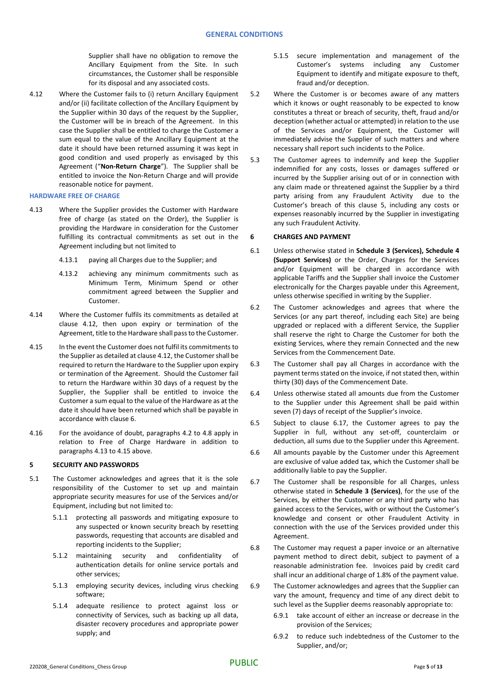Supplier shall have no obligation to remove the Ancillary Equipment from the Site. In such circumstances, the Customer shall be responsible for its disposal and any associated costs.

4.12 Where the Customer fails to (i) return Ancillary Equipment and/or (ii) facilitate collection of the Ancillary Equipment by the Supplier within 30 days of the request by the Supplier, the Customer will be in breach of the Agreement. In this case the Supplier shall be entitled to charge the Customer a sum equal to the value of the Ancillary Equipment at the date it should have been returned assuming it was kept in good condition and used properly as envisaged by this Agreement ("**Non-Return Charge**"). The Supplier shall be entitled to invoice the Non-Return Charge and will provide reasonable notice for payment.

#### **HARDWARE FREE OF CHARGE**

- 4.13 Where the Supplier provides the Customer with Hardware free of charge (as stated on the Order), the Supplier is providing the Hardware in consideration for the Customer fulfilling its contractual commitments as set out in the Agreement including but not limited to
	- 4.13.1 paying all Charges due to the Supplier; and
	- 4.13.2 achieving any minimum commitments such as Minimum Term, Minimum Spend or other commitment agreed between the Supplier and Customer.
- 4.14 Where the Customer fulfils its commitments as detailed at clause 4.12, then upon expiry or termination of the Agreement, title to the Hardware shall pass to the Customer.
- 4.15 In the event the Customer does not fulfil its commitments to the Supplier as detailed at clause 4.12, the Customer shall be required to return the Hardware to the Supplier upon expiry or termination of the Agreement. Should the Customer fail to return the Hardware within 30 days of a request by the Supplier, the Supplier shall be entitled to invoice the Customer a sum equal to the value of the Hardware as at the date it should have been returned which shall be payable in accordance with clause 6.
- 4.16 For the avoidance of doubt, paragraphs 4.2 to 4.8 apply in relation to Free of Charge Hardware in addition to paragraphs 4.13 to 4.15 above.

## <span id="page-4-0"></span>**5 SECURITY AND PASSWORDS**

- 5.1 The Customer acknowledges and agrees that it is the sole responsibility of the Customer to set up and maintain appropriate security measures for use of the Services and/or Equipment, including but not limited to:
	- 5.1.1 protecting all passwords and mitigating exposure to any suspected or known security breach by resetting passwords, requesting that accounts are disabled and reporting incidents to the Supplier;
	- 5.1.2 maintaining security and confidentiality of authentication details for online service portals and other services;
	- 5.1.3 employing security devices, including virus checking software;
	- 5.1.4 adequate resilience to protect against loss or connectivity of Services, such as backing up all data, disaster recovery procedures and appropriate power supply; and
- 5.1.5 secure implementation and management of the Customer's systems including any Customer Equipment to identify and mitigate exposure to theft, fraud and/or deception.
- 5.2 Where the Customer is or becomes aware of any matters which it knows or ought reasonably to be expected to know constitutes a threat or breach of security, theft, fraud and/or deception (whether actual or attempted) in relation to the use of the Services and/or Equipment, the Customer will immediately advise the Supplier of such matters and where necessary shall report such incidents to the Police.
- 5.3 The Customer agrees to indemnify and keep the Supplier indemnified for any costs, losses or damages suffered or incurred by the Supplier arising out of or in connection with any claim made or threatened against the Supplier by a third party arising from any Fraudulent Activity due to the Customer's breach of this clause [5,](#page-4-0) including any costs or expenses reasonably incurred by the Supplier in investigating any such Fraudulent Activity.

#### **6 CHARGES AND PAYMENT**

- 6.1 Unless otherwise stated in **Schedule 3 (Services), Schedule 4 (Support Services)** or the Order, Charges for the Services and/or Equipment will be charged in accordance with applicable Tariffs and the Supplier shall invoice the Customer electronically for the Charges payable under this Agreement, unless otherwise specified in writing by the Supplier.
- 6.2 The Customer acknowledges and agrees that where the Services (or any part thereof, including each Site) are being upgraded or replaced with a different Service, the Supplier shall reserve the right to Charge the Customer for both the existing Services, where they remain Connected and the new Services from the Commencement Date.
- <span id="page-4-1"></span>6.3 The Customer shall pay all Charges in accordance with the payment terms stated on the invoice, if not stated then, within thirty (30) days of the Commencement Date.
- 6.4 Unless otherwise stated all amounts due from the Customer to the Supplier under this Agreement shall be paid within seven (7) days of receipt of the Supplier's invoice.
- 6.5 Subject to clause 6.17, the Customer agrees to pay the Supplier in full, without any set-off, counterclaim or deduction, all sums due to the Supplier under this Agreement.
- 6.6 All amounts payable by the Customer under this Agreement are exclusive of value added tax, which the Customer shall be additionally liable to pay the Supplier.
- 6.7 The Customer shall be responsible for all Charges, unless otherwise stated in **Schedule 3 (Services)**, for the use of the Services, by either the Customer or any third party who has gained access to the Services, with or without the Customer's knowledge and consent or other Fraudulent Activity in connection with the use of the Services provided under this Agreement.
- 6.8 The Customer may request a paper invoice or an alternative payment method to direct debit, subject to payment of a reasonable administration fee. Invoices paid by credit card shall incur an additional charge of 1.8% of the payment value.
- 6.9 The Customer acknowledges and agrees that the Supplier can vary the amount, frequency and time of any direct debit to such level as the Supplier deems reasonably appropriate to:
	- 6.9.1 take account of either an increase or decrease in the provision of the Services;
	- 6.9.2 to reduce such indebtedness of the Customer to the Supplier, and/or;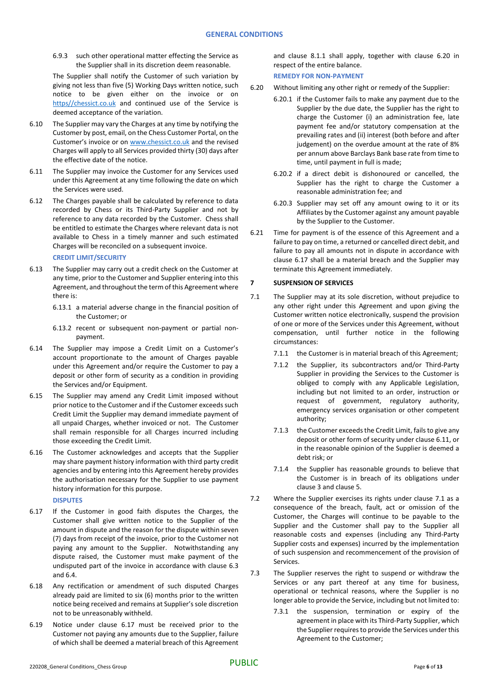6.9.3 such other operational matter effecting the Service as the Supplier shall in its discretion deem reasonable.

The Supplier shall notify the Customer of such variation by giving not less than five (5) Working Days written notice, such notice to be given either on the invoice or on [https//chessict.co.uk](http://www.chessict.co.uk/) and continued use of the Service is deemed acceptance of the variation.

- <span id="page-5-2"></span>6.10 The Supplier may vary the Charges at any time by notifying the Customer by post, email, on the Chess Customer Portal, on the Customer's invoice or on [www.chessict.co.uk](http://www.chessict.co.uk/) and the revised Charges will apply to all Services provided thirty (30) days after the effective date of the notice.
- 6.11 The Supplier may invoice the Customer for any Services used under this Agreement at any time following the date on which the Services were used.
- 6.12 The Charges payable shall be calculated by reference to data recorded by Chess or its Third-Party Supplier and not by reference to any data recorded by the Customer. Chess shall be entitled to estimate the Charges where relevant data is not available to Chess in a timely manner and such estimated Charges will be reconciled on a subsequent invoice.

## **CREDIT LIMIT/SECURITY**

- 6.13 The Supplier may carry out a credit check on the Customer at any time, prior to the Customer and Supplier entering into this Agreement, and throughout the term of this Agreement where there is:
	- 6.13.1 a material adverse change in the financial position of the Customer; or
	- 6.13.2 recent or subsequent non-payment or partial nonpayment.
- 6.14 The Supplier may impose a Credit Limit on a Customer's account proportionate to the amount of Charges payable under this Agreement and/or require the Customer to pay a deposit or other form of security as a condition in providing the Services and/or Equipment.
- 6.15 The Supplier may amend any Credit Limit imposed without prior notice to the Customer and if the Customer exceeds such Credit Limit the Supplier may demand immediate payment of all unpaid Charges, whether invoiced or not. The Customer shall remain responsible for all Charges incurred including those exceeding the Credit Limit.
- 6.16 The Customer acknowledges and accepts that the Supplier may share payment history information with third party credit agencies and by entering into this Agreement hereby provides the authorisation necessary for the Supplier to use payment history information for this purpose.

**DISPUTES**

- 6.17 If the Customer in good faith disputes the Charges, the Customer shall give written notice to the Supplier of the amount in dispute and the reason for the dispute within seven (7) days from receipt of the invoice, prior to the Customer not paying any amount to the Supplier. Notwithstanding any dispute raised, the Customer must make payment of the undisputed part of the invoice in accordance with clause [6.3](#page-4-1) and 6.4.
- 6.18 Any rectification or amendment of such disputed Charges already paid are limited to six (6) months prior to the written notice being received and remains at Supplier's sole discretion not to be unreasonably withheld.
- 6.19 Notice under clause 6.17 must be received prior to the Customer not paying any amounts due to the Supplier, failure of which shall be deemed a material breach of this Agreement

and clause [8.1.1](#page-6-1) shall apply, together with clause 6.20 in respect of the entire balance.

**REMEDY FOR NON-PAYMENT**

- 6.20 Without limiting any other right or remedy of the Supplier:
	- 6.20.1 if the Customer fails to make any payment due to the Supplier by the due date, the Supplier has the right to charge the Customer (i) an administration fee, late payment fee and/or statutory compensation at the prevailing rates and (ii) interest (both before and after judgement) on the overdue amount at the rate of 8% per annum above Barclays Bank base rate from time to time, until payment in full is made;
		- 6.20.2 if a direct debit is dishonoured or cancelled, the Supplier has the right to charge the Customer a reasonable administration fee; and
		- 6.20.3 Supplier may set off any amount owing to it or its Affiliates by the Customer against any amount payable by the Supplier to the Customer.
- 6.21 Time for payment is of the essence of this Agreement and a failure to pay on time, a returned or cancelled direct debit, and failure to pay all amounts not in dispute in accordance with clause 6.17 shall be a material breach and the Supplier may terminate this Agreement immediately.

# **7 SUSPENSION OF SERVICES**

- <span id="page-5-0"></span>7.1 The Supplier may at its sole discretion, without prejudice to any other right under this Agreement and upon giving the Customer written notice electronically, suspend the provision of one or more of the Services under this Agreement, without compensation, until further notice in the following circumstances:
	- 7.1.1 the Customer is in material breach of this Agreement;
	- 7.1.2 the Supplier, its subcontractors and/or Third-Party Supplier in providing the Services to the Customer is obliged to comply with any Applicable Legislation, including but not limited to an order, instruction or request of government, regulatory authority, emergency services organisation or other competent authority;
	- 7.1.3 the Customer exceeds the Credit Limit, fails to give any deposit or other form of security under clause 6.11, or in the reasonable opinion of the Supplier is deemed a debt risk; or
	- 7.1.4 the Supplier has reasonable grounds to believe that the Customer is in breach of its obligations under claus[e 3](#page-0-0) and clause [5.](#page-4-0)
- 7.2 Where the Supplier exercises its rights under clause [7.1](#page-5-0) as a consequence of the breach, fault, act or omission of the Customer, the Charges will continue to be payable to the Supplier and the Customer shall pay to the Supplier all reasonable costs and expenses (including any Third-Party Supplier costs and expenses) incurred by the implementation of such suspension and recommencement of the provision of Services.
- <span id="page-5-1"></span>7.3 The Supplier reserves the right to suspend or withdraw the Services or any part thereof at any time for business, operational or technical reasons, where the Supplier is no longer able to provide the Service, including but not limited to:
	- 7.3.1 the suspension, termination or expiry of the agreement in place with its Third-Party Supplier, which the Supplier requires to provide the Services under this Agreement to the Customer;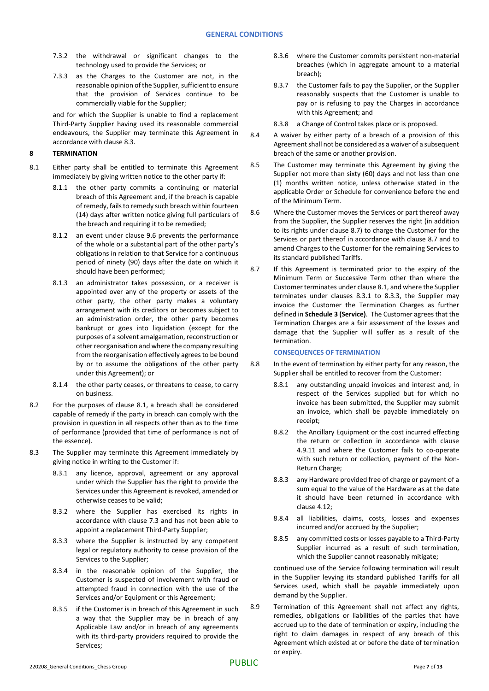- 7.3.2 the withdrawal or significant changes to the technology used to provide the Services; or
- 7.3.3 as the Charges to the Customer are not, in the reasonable opinion of the Supplier, sufficient to ensure that the provision of Services continue to be commercially viable for the Supplier;

and for which the Supplier is unable to find a replacement Third-Party Supplier having used its reasonable commercial endeavours, the Supplier may terminate this Agreement in accordance with claus[e 8.3.](#page-6-2)

## <span id="page-6-0"></span>**8 TERMINATION**

- <span id="page-6-4"></span><span id="page-6-3"></span><span id="page-6-1"></span>8.1 Either party shall be entitled to terminate this Agreement immediately by giving written notice to the other party if:
	- 8.1.1 the other party commits a continuing or material breach of this Agreement and, if the breach is capable of remedy, fails to remedy such breach within fourteen (14) days after written notice giving full particulars of the breach and requiring it to be remedied;
	- 8.1.2 an event under clause [9.6](#page-7-0) prevents the performance of the whole or a substantial part of the other party's obligations in relation to that Service for a continuous period of ninety (90) days after the date on which it should have been performed;
	- 8.1.3 an administrator takes possession, or a receiver is appointed over any of the property or assets of the other party, the other party makes a voluntary arrangement with its creditors or becomes subject to an administration order, the other party becomes bankrupt or goes into liquidation (except for the purposes of a solvent amalgamation, reconstruction or other reorganisation and where the company resulting from the reorganisation effectively agrees to be bound by or to assume the obligations of the other party under this Agreement); or
	- 8.1.4 the other party ceases, or threatens to cease, to carry on business.
- 8.2 For the purposes of clause [8.1,](#page-6-3) a breach shall be considered capable of remedy if the party in breach can comply with the provision in question in all respects other than as to the time of performance (provided that time of performance is not of the essence).
- <span id="page-6-2"></span>8.3 The Supplier may terminate this Agreement immediately by giving notice in writing to the Customer if:
	- 8.3.1 any licence, approval, agreement or any approval under which the Supplier has the right to provide the Services under this Agreement is revoked, amended or otherwise ceases to be valid;
	- 8.3.2 where the Supplier has exercised its rights in accordance with clause [7.3](#page-5-1) and has not been able to appoint a replacement Third-Party Supplier;
	- 8.3.3 where the Supplier is instructed by any competent legal or regulatory authority to cease provision of the Services to the Supplier;
	- 8.3.4 in the reasonable opinion of the Supplier, the Customer is suspected of involvement with fraud or attempted fraud in connection with the use of the Services and/or Equipment or this Agreement;
	- 8.3.5 if the Customer is in breach of this Agreement in such a way that the Supplier may be in breach of any Applicable Law and/or in breach of any agreements with its third-party providers required to provide the Services;
- 8.3.6 where the Customer commits persistent non-material breaches (which in aggregate amount to a material breach);
- 8.3.7 the Customer fails to pay the Supplier, or the Supplier reasonably suspects that the Customer is unable to pay or is refusing to pay the Charges in accordance with this Agreement; and
- 8.3.8 a Change of Control takes place or is proposed.
- 8.4 A waiver by either party of a breach of a provision of this Agreement shall not be considered as a waiver of a subsequent breach of the same or another provision.
- 8.5 The Customer may terminate this Agreement by giving the Supplier not more than sixty (60) days and not less than one (1) months written notice, unless otherwise stated in the applicable Order or Schedule for convenience before the end of the Minimum Term.
- 8.6 Where the Customer moves the Services or part thereof away from the Supplier, the Supplier reserves the right (in addition to its rights under clause 8.7) to charge the Customer for the Services or part thereof in accordance with clause 8.7 and to amend Charges to the Customer for the remaining Services to its standard published Tariffs.
- 8.7 If this Agreement is terminated prior to the expiry of the Minimum Term or Successive Term other than where the Customer terminates under clause [8.1,](#page-6-3) and where the Supplier terminates under clauses 8.3.1 to 8.3.3, the Supplier may invoice the Customer the Termination Charges as further defined in **Schedule 3 (Service)**. The Customer agrees that the Termination Charges are a fair assessment of the losses and damage that the Supplier will suffer as a result of the termination.

#### **CONSEQUENCES OF TERMINATION**

- 8.8 In the event of termination by either party for any reason, the Supplier shall be entitled to recover from the Customer:
	- 8.8.1 any outstanding unpaid invoices and interest and, in respect of the Services supplied but for which no invoice has been submitted, the Supplier may submit an invoice, which shall be payable immediately on receipt;
	- 8.8.2 the Ancillary Equipment or the cost incurred effecting the return or collection in accordance with clause 4.9.11 and where the Customer fails to co-operate with such return or collection, payment of the Non-Return Charge;
	- 8.8.3 any Hardware provided free of charge or payment of a sum equal to the value of the Hardware as at the date it should have been returned in accordance with clause 4.12;
	- 8.8.4 all liabilities, claims, costs, losses and expenses incurred and/or accrued by the Supplier;
	- 8.8.5 any committed costs or losses payable to a Third-Party Supplier incurred as a result of such termination, which the Supplier cannot reasonably mitigate;

continued use of the Service following termination will result in the Supplier levying its standard published Tariffs for all Services used, which shall be payable immediately upon demand by the Supplier.

8.9 Termination of this Agreement shall not affect any rights, remedies, obligations or liabilities of the parties that have accrued up to the date of termination or expiry, including the right to claim damages in respect of any breach of this Agreement which existed at or before the date of termination or expiry.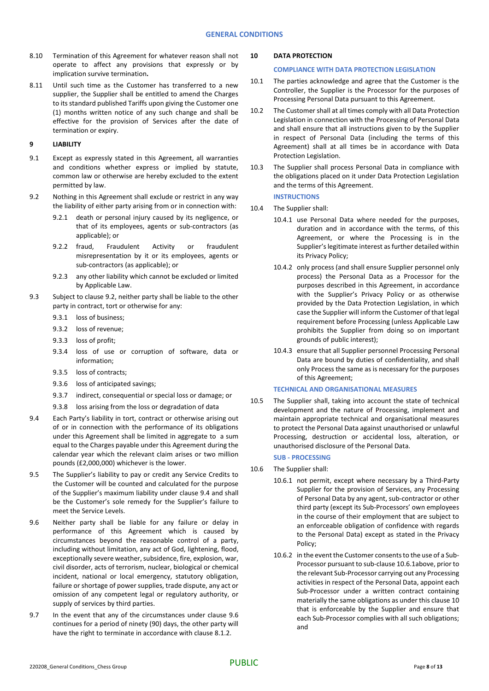- 8.10 Termination of this Agreement for whatever reason shall not operate to affect any provisions that expressly or by implication survive termination**.**
- 8.11 Until such time as the Customer has transferred to a new supplier, the Supplier shall be entitled to amend the Charges to its standard published Tariffs upon giving the Customer one (1) months written notice of any such change and shall be effective for the provision of Services after the date of termination or expiry.

## **9 LIABILITY**

- 9.1 Except as expressly stated in this Agreement, all warranties and conditions whether express or implied by statute, common law or otherwise are hereby excluded to the extent permitted by law.
- <span id="page-7-1"></span>9.2 Nothing in this Agreement shall exclude or restrict in any way the liability of either party arising from or in connection with:
	- 9.2.1 death or personal injury caused by its negligence, or that of its employees, agents or sub-contractors (as applicable); or
	- 9.2.2 fraud, Fraudulent Activity or fraudulent misrepresentation by it or its employees, agents or sub-contractors (as applicable); or
	- 9.2.3 any other liability which cannot be excluded or limited by Applicable Law.
- 9.3 Subject to claus[e 9.2,](#page-7-1) neither party shall be liable to the other party in contract, tort or otherwise for any:
	- 9.3.1 loss of business;
	- 9.3.2 loss of revenue;
	- 9.3.3 loss of profit;
	- 9.3.4 loss of use or corruption of software, data or information;
	- 9.3.5 loss of contracts;
	- 9.3.6 loss of anticipated savings;
	- 9.3.7 indirect, consequential or special loss or damage; or
	- 9.3.8 loss arising from the loss or degradation of data
- <span id="page-7-2"></span>9.4 Each Party's liability in tort, contract or otherwise arising out of or in connection with the performance of its obligations under this Agreement shall be limited in aggregate to a sum equal to the Charges payable under this Agreement during the calendar year which the relevant claim arises or two million pounds (£2,000,000) whichever is the lower.
- 9.5 The Supplier's liability to pay or credit any Service Credits to the Customer will be counted and calculated for the purpose of the Supplier's maximum liability under clause [9.4](#page-7-2) and shall be the Customer's sole remedy for the Supplier's failure to meet the Service Levels.
- <span id="page-7-0"></span>9.6 Neither party shall be liable for any failure or delay in performance of this Agreement which is caused by circumstances beyond the reasonable control of a party, including without limitation, any act of God, lightening, flood, exceptionally severe weather, subsidence, fire, explosion, war, civil disorder, acts of terrorism, nuclear, biological or chemical incident, national or local emergency, statutory obligation, failure or shortage of power supplies, trade dispute, any act or omission of any competent legal or regulatory authority, or supply of services by third parties.
- 9.7 In the event that any of the circumstances under clause [9.6](#page-7-0) continues for a period of ninety (90) days, the other party will have the right to terminate in accordance with claus[e 8.1.2.](#page-6-4)

## <span id="page-7-4"></span>**10 DATA PROTECTION**

### **COMPLIANCE WITH DATA PROTECTION LEGISLATION**

- 10.1 The parties acknowledge and agree that the Customer is the Controller, the Supplier is the Processor for the purposes of Processing Personal Data pursuant to this Agreement.
- 10.2 The Customer shall at all times comply with all Data Protection Legislation in connection with the Processing of Personal Data and shall ensure that all instructions given to by the Supplier in respect of Personal Data (including the terms of this Agreement) shall at all times be in accordance with Data Protection Legislation.
- 10.3 The Supplier shall process Personal Data in compliance with the obligations placed on it under Data Protection Legislation and the terms of this Agreement.

### **INSTRUCTIONS**

- 10.4 The Supplier shall:
	- 10.4.1 use Personal Data where needed for the purposes, duration and in accordance with the terms, of this Agreement, or where the Processing is in the Supplier's legitimate interest as further detailed within its Privacy Policy;
	- 10.4.2 only process (and shall ensure Supplier personnel only process) the Personal Data as a Processor for the purposes described in this Agreement, in accordance with the Supplier's Privacy Policy or as otherwise provided by the Data Protection Legislation, in which case the Supplier will inform the Customer of that legal requirement before Processing (unless Applicable Law prohibits the Supplier from doing so on important grounds of public interest);
	- 10.4.3 ensure that all Supplier personnel Processing Personal Data are bound by duties of confidentiality, and shall only Process the same as is necessary for the purposes of this Agreement;

# **TECHNICAL AND ORGANISATIONAL MEASURES**

10.5 The Supplier shall, taking into account the state of technical development and the nature of Processing, implement and maintain appropriate technical and organisational measures to protect the Personal Data against unauthorised or unlawful Processing, destruction or accidental loss, alteration, or unauthorised disclosure of the Personal Data.

# **SUB - PROCESSING**

- <span id="page-7-3"></span>10.6 The Supplier shall:
	- 10.6.1 not permit, except where necessary by a Third-Party Supplier for the provision of Services, any Processing of Personal Data by any agent, sub-contractor or other third party (except its Sub-Processors' own employees in the course of their employment that are subject to an enforceable obligation of confidence with regards to the Personal Data) except as stated in the Privacy Policy;
	- 10.6.2 in the event the Customer consents to the use of a Sub-Processor pursuant to sub-claus[e 10.6.](#page-7-3)1above, prior to the relevant Sub-Processor carrying out any Processing activities in respect of the Personal Data, appoint each Sub-Processor under a written contract containing materially the same obligations as under this claus[e 10](#page-7-4) that is enforceable by the Supplier and ensure that each Sub-Processor complies with all such obligations; and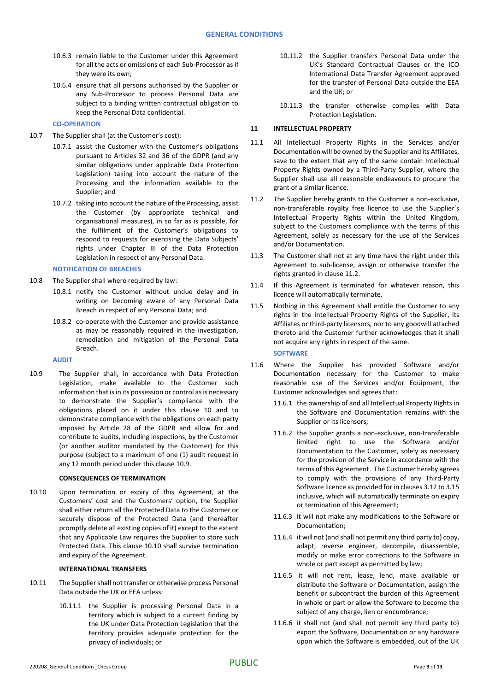- 10.6.3 remain liable to the Customer under this Agreement for all the acts or omissions of each Sub-Processor as if they were its own;
- 10.6.4 ensure that all persons authorised by the Supplier or any Sub-Processor to process Personal Data are subject to a binding written contractual obligation to keep the Personal Data confidential.

**CO-OPERATION**

- 10.7 The Supplier shall (at the Customer's cost):
	- 10.7.1 assist the Customer with the Customer's obligations pursuant to Articles 32 and 36 of the GDPR (and any similar obligations under applicable Data Protection Legislation) taking into account the nature of the Processing and the information available to the Supplier; and
	- 10.7.2 taking into account the nature of the Processing, assist the Customer (by appropriate technical and organisational measures), in so far as is possible, for the fulfilment of the Customer's obligations to respond to requests for exercising the Data Subjects' rights under Chapter III of the Data Protection Legislation in respect of any Personal Data.

## **NOTIFICATION OF BREACHES**

- 10.8 The Supplier shall where required by law:
	- 10.8.1 notify the Customer without undue delay and in writing on becoming aware of any Personal Data Breach in respect of any Personal Data; and
	- 10.8.2 co-operate with the Customer and provide assistance as may be reasonably required in the investigation, remediation and mitigation of the Personal Data Breach.

**AUDIT**

10.9 The Supplier shall, in accordance with Data Protection Legislation, make available to the Customer such information that is in its possession or control as is necessary to demonstrate the Supplier's compliance with the obligations placed on it under this clause 10 and to demonstrate compliance with the obligations on each party imposed by Article 28 of the GDPR and allow for and contribute to audits, including inspections, by the Customer (or another auditor mandated by the Customer) for this purpose (subject to a maximum of one (1) audit request in any 12 month period under this clause 10.9.

#### **CONSEQUENCES OF TERMINATION**

10.10 Upon termination or expiry of this Agreement, at the Customers' cost and the Customers' option, the Supplier shall either return all the Protected Data to the Customer or securely dispose of the Protected Data (and thereafter promptly delete all existing copies of it) except to the extent that any Applicable Law requires the Supplier to store such Protected Data. This clause 10.10 shall survive termination and expiry of the Agreement.

# **INTERNATIONAL TRANSFERS**

- 10.11 The Supplier shall not transfer or otherwise process Personal Data outside the UK or EEA unless:
	- 10.11.1 the Supplier is processing Personal Data in a territory which is subject to a current finding by the UK under Data Protection Legislation that the territory provides adequate protection for the privacy of individuals; or
- 10.11.2 the Supplier transfers Personal Data under the UK's Standard Contractual Clauses or the ICO International Data Transfer Agreement approved for the transfer of Personal Data outside the EEA and the UK; or
- 10.11.3 the transfer otherwise complies with Data Protection Legislation.

# **11 INTELLECTUAL PROPERTY**

- 11.1 All Intellectual Property Rights in the Services and/or Documentation will be owned by the Supplier and its Affiliates, save to the extent that any of the same contain Intellectual Property Rights owned by a Third-Party Supplier, where the Supplier shall use all reasonable endeavours to procure the grant of a similar licence.
- <span id="page-8-1"></span>11.2 The Supplier hereby grants to the Customer a non-exclusive, non-transferable royalty free licence to use the Supplier's Intellectual Property Rights within the United Kingdom, subject to the Customers compliance with the terms of this Agreement, solely as necessary for the use of the Services and/or Documentation.
- 11.3 The Customer shall not at any time have the right under this Agreement to sub-license, assign or otherwise transfer the rights granted in claus[e 11.2.](#page-8-1)
- 11.4 If this Agreement is terminated for whatever reason, this licence will automatically terminate.
- 11.5 Nothing in this Agreement shall entitle the Customer to any rights in the Intellectual Property Rights of the Supplier, its Affiliates or third-party licensors, nor to any goodwill attached thereto and the Customer further acknowledges that it shall not acquire any rights in respect of the same. **SOFTWARE**
- <span id="page-8-0"></span>11.6 Where the Supplier has provided Software and/or Documentation necessary for the Customer to make reasonable use of the Services and/or Equipment, the Customer acknowledges and agrees that:
	- 11.6.1 the ownership of and all Intellectual Property Rights in the Software and Documentation remains with the Supplier or its licensors;
	- 11.6.2 the Supplier grants a non-exclusive, non-transferable limited right to use the Software and/or Documentation to the Customer, solely as necessary for the provision of the Service in accordance with the terms of this Agreement. The Customer hereby agrees to comply with the provisions of any Third-Party Software licence as provided for in clause[s 3.12](#page-1-0) t[o 3.15](#page-1-1) inclusive, which will automatically terminate on expiry or termination of this Agreement;
	- 11.6.3 it will not make any modifications to the Software or Documentation;
	- 11.6.4 it will not (and shall not permit any third party to) copy, adapt, reverse engineer, decompile, disassemble, modify or make error corrections to the Software in whole or part except as permitted by law;
	- 11.6.5 it will not rent, lease, lend, make available or distribute the Software or Documentation, assign the benefit or subcontract the burden of this Agreement in whole or part or allow the Software to become the subject of any charge, lien or encumbrance;
	- 11.6.6 it shall not (and shall not permit any third party to) export the Software, Documentation or any hardware upon which the Software is embedded, out of the UK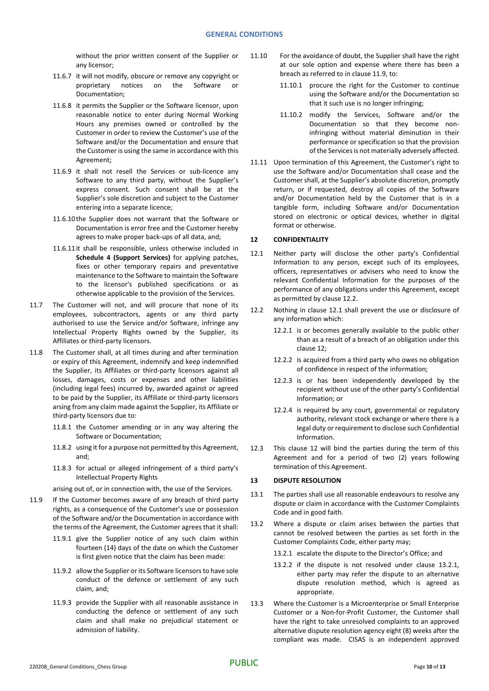without the prior written consent of the Supplier or any licensor;

- 11.6.7 it will not modify, obscure or remove any copyright or<br>proprietary notices on the Software or notices on the Software or Documentation;
- 11.6.8 it permits the Supplier or the Software licensor, upon reasonable notice to enter during Normal Working Hours any premises owned or controlled by the Customer in order to review the Customer's use of the Software and/or the Documentation and ensure that the Customer is using the same in accordance with this Agreement;
- 11.6.9 it shall not resell the Services or sub-licence any Software to any third party, without the Supplier's express consent. Such consent shall be at the Supplier's sole discretion and subject to the Customer entering into a separate licence;
- 11.6.10the Supplier does not warrant that the Software or Documentation is error free and the Customer hereby agrees to make proper back-ups of all data, and;
- 11.6.11it shall be responsible, unless otherwise included in **Schedule 4 (Support Services)** for applying patches, fixes or other temporary repairs and preventative maintenance to the Software to maintain the Software to the licensor's published specifications or as otherwise applicable to the provision of the Services.
- 11.7 The Customer will not, and will procure that none of its employees, subcontractors, agents or any third party authorised to use the Service and/or Software, infringe any Intellectual Property Rights owned by the Supplier, its Affiliates or third-party licensors.
- 11.8 The Customer shall, at all times during and after termination or expiry of this Agreement, indemnify and keep indemnified the Supplier, its Affiliates or third-party licensors against all losses, damages, costs or expenses and other liabilities (including legal fees) incurred by, awarded against or agreed to be paid by the Supplier, its Affiliate or third-party licensors arsing from any claim made against the Supplier, its Affiliate or third-party licensors due to:
	- 11.8.1 the Customer amending or in any way altering the Software or Documentation;
	- 11.8.2 using it for a purpose not permitted by this Agreement, and;
	- 11.8.3 for actual or alleged infringement of a third party's Intellectual Property Rights
	- arising out of, or in connection with, the use of the Services.
- 11.9 If the Customer becomes aware of any breach of third party rights, as a consequence of the Customer's use or possession of the Software and/or the Documentation in accordance with the terms of the Agreement, the Customer agrees that it shall:
	- 11.9.1 give the Supplier notice of any such claim within fourteen (14) days of the date on which the Customer is first given notice that the claim has been made:
	- 11.9.2 allow the Supplier or its Software licensors to have sole conduct of the defence or settlement of any such claim, and;
	- 11.9.3 provide the Supplier with all reasonable assistance in conducting the defence or settlement of any such claim and shall make no prejudicial statement or admission of liability.
- 11.10 For the avoidance of doubt, the Supplier shall have the right at our sole option and expense where there has been a breach as referred to in clause 11.9, to:
	- 11.10.1 procure the right for the Customer to continue using the Software and/or the Documentation so that it such use is no longer infringing;
	- 11.10.2 modify the Services, Software and/or the Documentation so that they become noninfringing without material diminution in their performance or specification so that the provision of the Services is not materially adversely affected.
- 11.11 Upon termination of this Agreement, the Customer's right to use the Software and/or Documentation shall cease and the Customer shall, at the Supplier's absolute discretion, promptly return, or if requested, destroy all copies of the Software and/or Documentation held by the Customer that is in a tangible form, including Software and/or Documentation stored on electronic or optical devices, whether in digital format or otherwise.

# <span id="page-9-2"></span>**12 CONFIDENTIALITY**

- <span id="page-9-1"></span>12.1 Neither party will disclose the other party's Confidential Information to any person, except such of its employees, officers, representatives or advisers who need to know the relevant Confidential Information for the purposes of the performance of any obligations under this Agreement, except as permitted by claus[e 12.2.](#page-9-0)
- <span id="page-9-0"></span>12.2 Nothing in clause [12.1](#page-9-1) shall prevent the use or disclosure of any information which:
	- 12.2.1 is or becomes generally available to the public other than as a result of a breach of an obligation under this claus[e 12;](#page-9-2)
	- 12.2.2 is acquired from a third party who owes no obligation of confidence in respect of the information;
	- 12.2.3 is or has been independently developed by the recipient without use of the other party's Confidential Information; or
	- 12.2.4 is required by any court, governmental or regulatory authority, relevant stock exchange or where there is a legal duty or requirement to disclose such Confidential Information.
- 12.3 This clause [12](#page-9-2) will bind the parties during the term of this Agreement and for a period of two (2) years following termination of this Agreement.

# **13 DISPUTE RESOLUTION**

- 13.1 The parties shall use all reasonable endeavours to resolve any dispute or claim in accordance with the Customer Complaints Code and in good faith.
- <span id="page-9-3"></span>13.2 Where a dispute or claim arises between the parties that cannot be resolved between the parties as set forth in the Customer Complaints Code, either party may;
	- 13.2.1 escalate the dispute to the Director's Office; and
	- 13.2.2 if the dispute is not resolved under clause [13.2.1,](#page-9-3) either party may refer the dispute to an alternative dispute resolution method, which is agreed as appropriate.
- 13.3 Where the Customer is a Microenterprise or Small Enterprise Customer or a Non-for-Profit Customer, the Customer shall have the right to take unresolved complaints to an approved alternative dispute resolution agency eight (8) weeks after the compliant was made. CISAS is an independent approved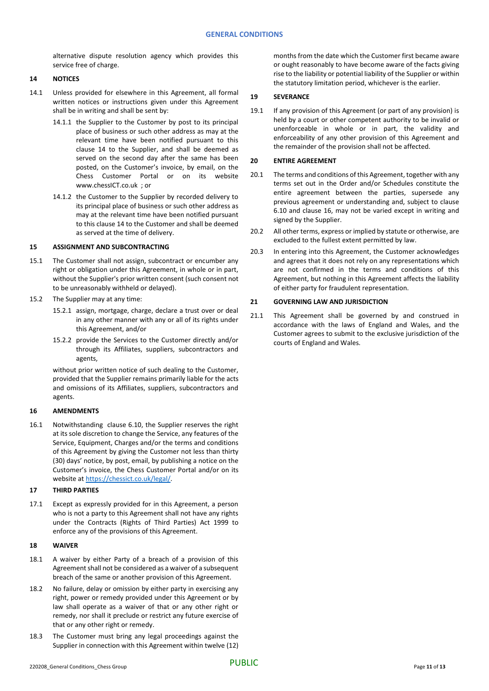alternative dispute resolution agency which provides this service free of charge.

# <span id="page-10-0"></span>**14 NOTICES**

- 14.1 Unless provided for elsewhere in this Agreement, all formal written notices or instructions given under this Agreement shall be in writing and shall be sent by:
	- 14.1.1 the Supplier to the Customer by post to its principal place of business or such other address as may at the relevant time have been notified pursuant to this clause [14](#page-10-0) to the Supplier, and shall be deemed as served on the second day after the same has been posted, on the Customer's invoice, by email, on the Chess Customer Portal or on its website www.chessICT.co.uk ; or
	- 14.1.2 the Customer to the Supplier by recorded delivery to its principal place of business or such other address as may at the relevant time have been notified pursuant to this claus[e 14](#page-10-0) to the Customer and shall be deemed as served at the time of delivery.

# **15 ASSIGNMENT AND SUBCONTRACTING**

- 15.1 The Customer shall not assign, subcontract or encumber any right or obligation under this Agreement, in whole or in part, without the Supplier's prior written consent (such consent not to be unreasonably withheld or delayed).
- 15.2 The Supplier may at any time:
	- 15.2.1 assign, mortgage, charge, declare a trust over or deal in any other manner with any or all of its rights under this Agreement, and/or
	- 15.2.2 provide the Services to the Customer directly and/or through its Affiliates, suppliers, subcontractors and agents,

without prior written notice of such dealing to the Customer, provided that the Supplier remains primarily liable for the acts and omissions of its Affiliates, suppliers, subcontractors and agents.

# <span id="page-10-1"></span>**16 AMENDMENTS**

16.1 Notwithstanding clause [6.10,](#page-5-2) the Supplier reserves the right at its sole discretion to change the Service, any features of the Service, Equipment, Charges and/or the terms and conditions of this Agreement by giving the Customer not less than thirty (30) days' notice, by post, email, by publishing a notice on the Customer's invoice, the Chess Customer Portal and/or on its website a[t https://chessict.co.uk/legal/.](https://chessict.co.uk/legal/)

# **17 THIRD PARTIES**

17.1 Except as expressly provided for in this Agreement, a person who is not a party to this Agreement shall not have any rights under the Contracts (Rights of Third Parties) Act 1999 to enforce any of the provisions of this Agreement.

# **18 WAIVER**

- 18.1 A waiver by either Party of a breach of a provision of this Agreement shall not be considered as a waiver of a subsequent breach of the same or another provision of this Agreement.
- 18.2 No failure, delay or omission by either party in exercising any right, power or remedy provided under this Agreement or by law shall operate as a waiver of that or any other right or remedy, nor shall it preclude or restrict any future exercise of that or any other right or remedy.
- 18.3 The Customer must bring any legal proceedings against the Supplier in connection with this Agreement within twelve (12)

months from the date which the Customer first became aware or ought reasonably to have become aware of the facts giving rise to the liability or potential liability of the Supplier or within the statutory limitation period, whichever is the earlier.

# **19 SEVERANCE**

19.1 If any provision of this Agreement (or part of any provision) is held by a court or other competent authority to be invalid or unenforceable in whole or in part, the validity and enforceability of any other provision of this Agreement and the remainder of the provision shall not be affected.

# **20 ENTIRE AGREEMENT**

- 20.1 The terms and conditions of this Agreement, together with any terms set out in the Order and/or Schedules constitute the entire agreement between the parties, supersede any previous agreement or understanding and, subject to clause [6.10](#page-5-2) and clause [16,](#page-10-1) may not be varied except in writing and signed by the Supplier.
- 20.2 All other terms, express or implied by statute or otherwise, are excluded to the fullest extent permitted by law.
- 20.3 In entering into this Agreement, the Customer acknowledges and agrees that it does not rely on any representations which are not confirmed in the terms and conditions of this Agreement, but nothing in this Agreement affects the liability of either party for fraudulent representation.

# **21 GOVERNING LAW AND JURISDICTION**

21.1 This Agreement shall be governed by and construed in accordance with the laws of England and Wales, and the Customer agrees to submit to the exclusive jurisdiction of the courts of England and Wales.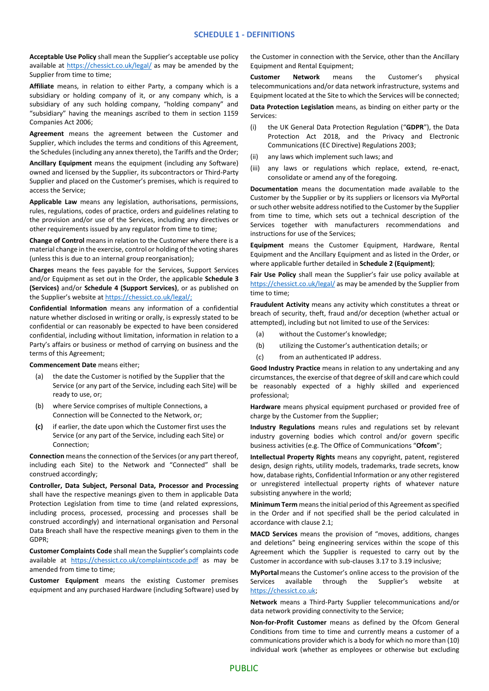**Acceptable Use Policy** shall mean the Supplier's acceptable use policy available at<https://chessict.co.uk/legal/> as may be amended by the Supplier from time to time;

**Affiliate** means, in relation to either Party, a company which is a subsidiary or holding company of it, or any company which, is a subsidiary of any such holding company, "holding company" and "subsidiary" having the meanings ascribed to them in section 1159 Companies Act 2006;

**Agreement** means the agreement between the Customer and Supplier, which includes the terms and conditions of this Agreement, the Schedules (including any annex thereto), the Tariffs and the Order;

**Ancillary Equipment** means the equipment (including any Software) owned and licensed by the Supplier, its subcontractors or Third-Party Supplier and placed on the Customer's premises, which is required to access the Service;

**Applicable Law** means any legislation, authorisations, permissions, rules, regulations, codes of practice, orders and guidelines relating to the provision and/or use of the Services, including any directives or other requirements issued by any regulator from time to time;

**Change of Control** means in relation to the Customer where there is a material change in the exercise, control or holding of the voting shares (unless this is due to an internal group reorganisation);

**Charges** means the fees payable for the Services, Support Services and/or Equipment as set out in the Order, the applicable **Schedule 3 (Services)** and/or **Schedule 4 (Support Services)**, or as published on the Supplier's website at [https://chessict.co.uk/legal/;](https://chessict.co.uk/legal/)

**Confidential Information** means any information of a confidential nature whether disclosed in writing or orally, is expressly stated to be confidential or can reasonably be expected to have been considered confidential, including without limitation, information in relation to a Party's affairs or business or method of carrying on business and the terms of this Agreement;

**Commencement Date** means either;

- (a) the date the Customer is notified by the Supplier that the Service (or any part of the Service, including each Site) will be ready to use, or;
- (b) where Service comprises of multiple Connections, a Connection will be Connected to the Network, or;
- **(c)** if earlier, the date upon which the Customer first uses the Service (or any part of the Service, including each Site) or Connection;

**Connection** means the connection of the Services (or any part thereof, including each Site) to the Network and "Connected" shall be construed accordingly;

**Controller, Data Subject, Personal Data, Processor and Processing** shall have the respective meanings given to them in applicable Data Protection Legislation from time to time (and related expressions, including process, processed, processing and processes shall be construed accordingly) and international organisation and Personal Data Breach shall have the respective meanings given to them in the GDPR;

**Customer Complaints Code** shall mean the Supplier's complaints code available at [https://chessict.co.uk/complaintscode.pdf](https://eur03.safelinks.protection.outlook.com/?url=https%3A%2F%2Fchessict.co.uk%2Fcomplaintscode.pdf&data=02%7C01%7CZahidAli%40ChessICT.co.uk%7C0dfe579643304969db0208d7c1bd2b32%7Cb59cf9cb1b57401482a1df65994c0c69%7C0%7C0%7C637190890534459933&sdata=Hxs8KEYfGkKyOpBsq2mulqaHOa59QojppLfwNrFrvEk%3D&reserved=0) as may be amended from time to time;

**Customer Equipment** means the existing Customer premises equipment and any purchased Hardware (including Software) used by the Customer in connection with the Service, other than the Ancillary Equipment and Rental Equipment;

**Customer Network** means the Customer's physical telecommunications and/or data network infrastructure, systems and Equipment located at the Site to which the Services will be connected;

**Data Protection Legislation** means, as binding on either party or the Services:

- (i) the UK General Data Protection Regulation ("**GDPR**"), the Data Protection Act 2018, and the Privacy and Electronic Communications (EC Directive) Regulations 2003;
- (ii) any laws which implement such laws; and
- (iii) any laws or regulations which replace, extend, re-enact, consolidate or amend any of the foregoing.

**Documentation** means the documentation made available to the Customer by the Supplier or by its suppliers or licensors via MyPortal or such other website address notified to the Customer by the Supplier from time to time, which sets out a technical description of the Services together with manufacturers recommendations and instructions for use of the Services;

**Equipment** means the Customer Equipment, Hardware, Rental Equipment and the Ancillary Equipment and as listed in the Order, or where applicable further detailed in **Schedule 2 (Equipment)**;

**Fair Use Policy** shall mean the Supplier's fair use policy available at <https://chessict.co.uk/legal/> as may be amended by the Supplier from time to time;

**Fraudulent Activity** means any activity which constitutes a threat or breach of security, theft, fraud and/or deception (whether actual or attempted), including but not limited to use of the Services:

- (a) without the Customer's knowledge;
- (b) utilizing the Customer's authentication details; or
- (c) from an authenticated IP address.

**Good Industry Practice** means in relation to any undertaking and any circumstances, the exercise of that degree of skill and care which could be reasonably expected of a highly skilled and experienced professional;

**Hardware** means physical equipment purchased or provided free of charge by the Customer from the Supplier;

**Industry Regulations** means rules and regulations set by relevant industry governing bodies which control and/or govern specific business activities (e.g. The Office of Communications "**Ofcom**";

**Intellectual Property Rights** means any copyright, patent, registered design, design rights, utility models, trademarks, trade secrets, know how, database rights, Confidential Information or any other registered or unregistered intellectual property rights of whatever nature subsisting anywhere in the world;

**Minimum Term** means the initial period of this Agreement as specified in the Order and if not specified shall be the period calculated in accordance with clause 2.1;

**MACD Services** means the provision of "moves, additions, changes and deletions" being engineering services within the scope of this Agreement which the Supplier is requested to carry out by the Customer in accordance with sub-clauses 3.17 to 3.19 inclusive;

**MyPortal**means the Customer's online access to the provision of the Services available through the Supplier's website at [https://chessict.co.uk;](https://chessict.co.uk/)

**Network** means a Third-Party Supplier telecommunications and/or data network providing connectivity to the Service;

**Non-for-Profit Customer** means as defined by the Ofcom General Conditions from time to time and currently means a customer of a communications provider which is a body for which no more than (10) individual work (whether as employees or otherwise but excluding